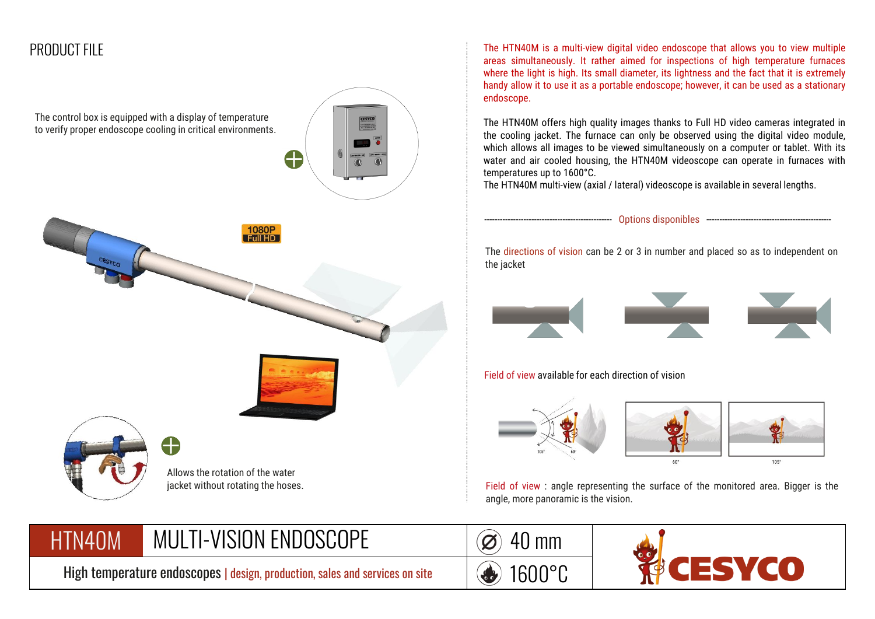## PRODUCT FILE



The HTN40M is a multi-view digital video endoscope that allows you to view multiple areas simultaneously. It rather aimed for inspections of high temperature furnaces where the light is high. Its small diameter, its lightness and the fact that it is extremely handy allow it to use it as a portable endoscope; however, it can be used as a stationary endoscope.

The HTN40M offers high quality images thanks to Full HD video cameras integrated in the cooling jacket. The furnace can only be observed using the digital video module, which allows all images to be viewed simultaneously on a computer or tablet. With its water and air cooled housing, the HTN40M videoscope can operate in furnaces with temperatures up to 1600°C.

The HTN40M multi-view (axial / lateral) videoscope is available in several lengths.







Field of view : angle representing the surface of the monitored area. Bigger is the angle, more panoramic is the vision.